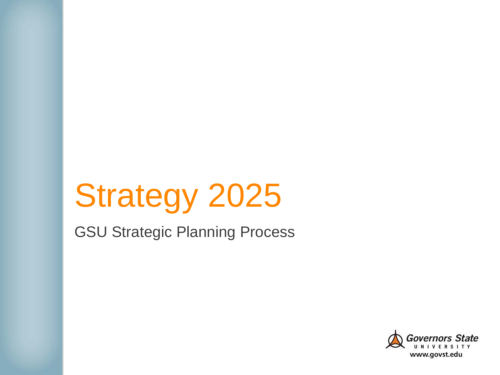# Strategy 2025

GSU Strategic Planning Process

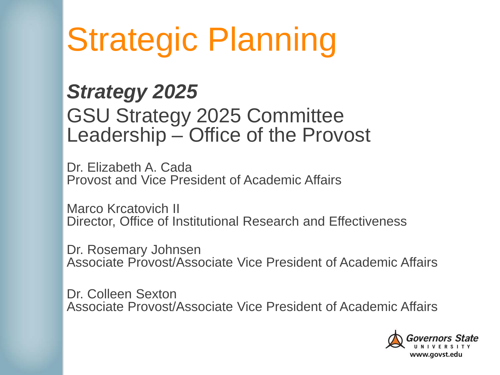# Strategic Planning

#### *Strategy 2025* GSU Strategy 2025 Committee Leadership – Office of the Provost

Dr. Elizabeth A. Cada Provost and Vice President of Academic Affairs

Marco Krcatovich II Director, Office of Institutional Research and Effectiveness

Dr. Rosemary Johnsen Associate Provost/Associate Vice President of Academic Affairs

Dr. Colleen Sexton Associate Provost/Associate Vice President of Academic Affairs

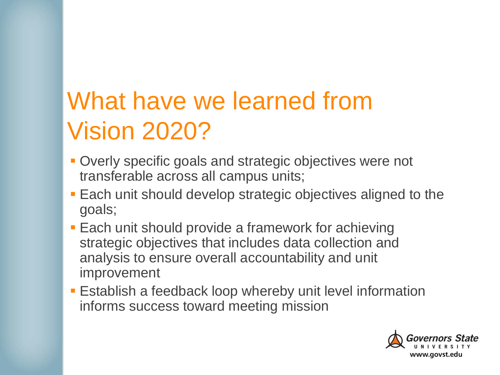### What have we learned from Vision 2020?

- **Overly specific goals and strategic objectives were not** transferable across all campus units;
- **Each unit should develop strategic objectives aligned to the** goals;
- **Each unit should provide a framework for achieving** strategic objectives that includes data collection and analysis to ensure overall accountability and unit improvement
- **Establish a feedback loop whereby unit level information** informs success toward meeting mission

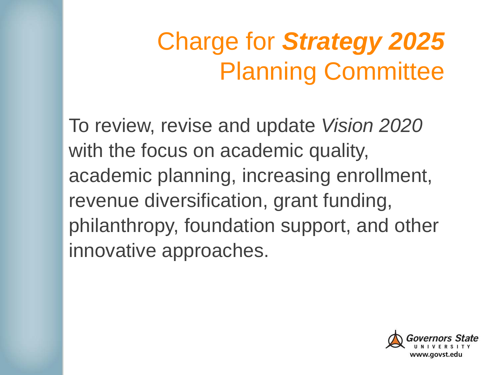### Charge for *Strategy 2025*  Planning Committee

To review, revise and update *Vision 2020*  with the focus on academic quality, academic planning, increasing enrollment, revenue diversification, grant funding, philanthropy, foundation support, and other innovative approaches.

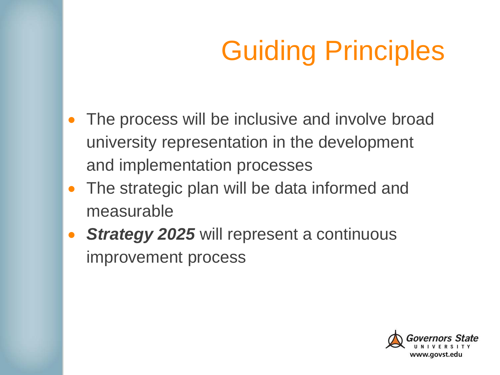## Guiding Principles

- The process will be inclusive and involve broad university representation in the development and implementation processes
- The strategic plan will be data informed and measurable
- *Strategy 2025* will represent a continuous improvement process

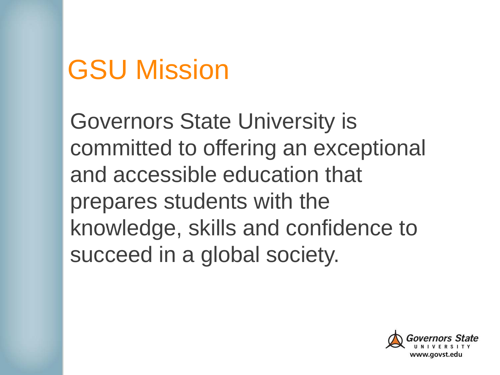## GSU Mission

Governors State University is committed to offering an exceptional and accessible education that prepares students with the knowledge, skills and confidence to succeed in a global society.

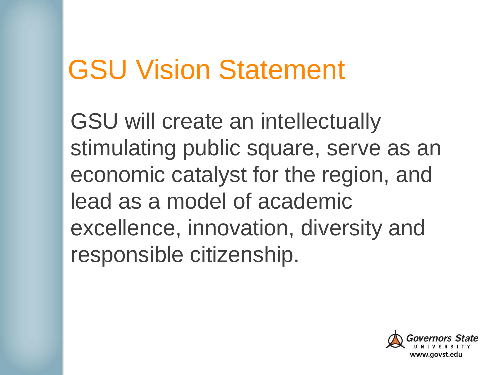### GSU Vision Statement

GSU will create an intellectually stimulating public square, serve as an economic catalyst for the region, and lead as a model of academic excellence, innovation, diversity and responsible citizenship.

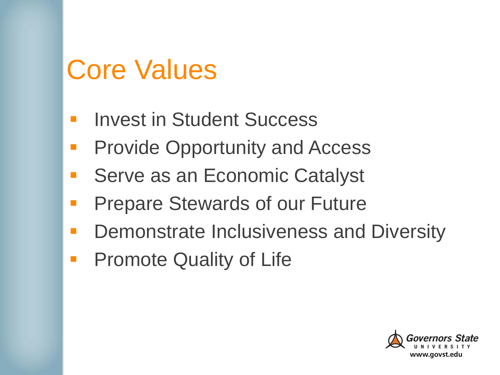### Core Values

- **Invest in Student Success**
- Provide Opportunity and Access
- **Serve as an Economic Catalyst**
- Prepare Stewards of our Future
- Demonstrate Inclusiveness and Diversity
- **Promote Quality of Life**

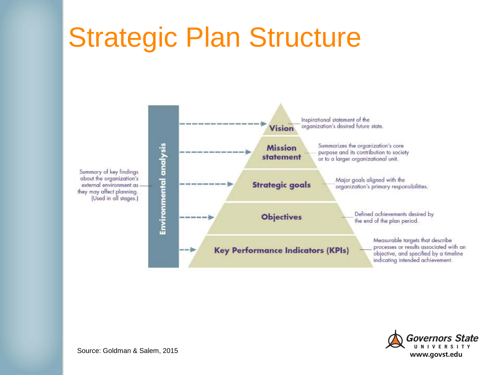## Strategic Plan Structure





Source: Goldman & Salem, 2015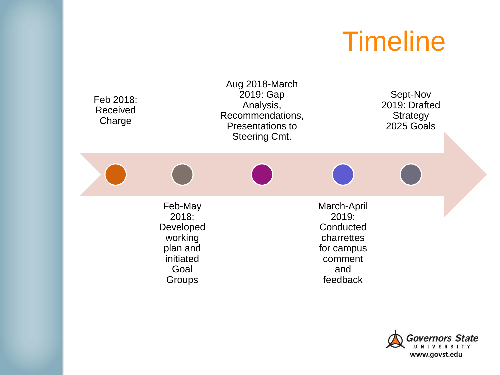### **Timeline**

| Feb 2018:<br>Received<br>Charge |                                                                                     | Aug 2018-March<br>2019: Gap<br>Analysis,<br>Recommendations,<br><b>Presentations to</b><br><b>Steering Cmt.</b> |                                                                                             | Sept-Nov<br>2019: Drafted<br>Strategy<br>2025 Goals |  |
|---------------------------------|-------------------------------------------------------------------------------------|-----------------------------------------------------------------------------------------------------------------|---------------------------------------------------------------------------------------------|-----------------------------------------------------|--|
|                                 |                                                                                     |                                                                                                                 |                                                                                             |                                                     |  |
|                                 | Feb-May<br>2018:<br>Developed<br>working<br>plan and<br>initiated<br>Goal<br>Groups |                                                                                                                 | March-April<br>2019:<br>Conducted<br>charrettes<br>for campus<br>comment<br>and<br>feedback |                                                     |  |

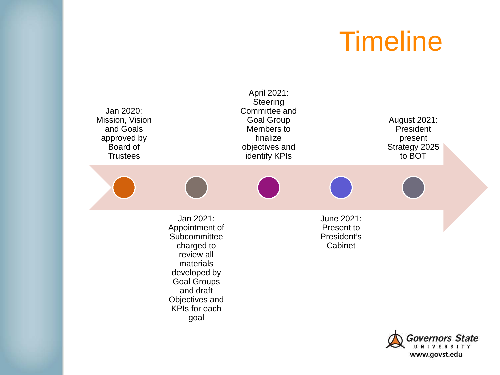#### **Timeline**



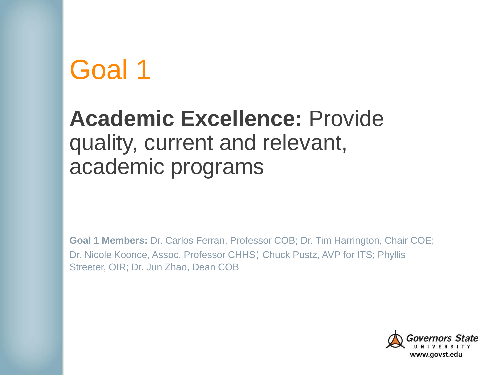#### **Academic Excellence:** Provide quality, current and relevant, academic programs

**Goal 1 Members: Dr. Carlos Ferran, Professor COB; Dr. Tim Harrington, Chair COE;** Dr. Nicole Koonce, Assoc. Professor CHHS; Chuck Pustz, AVP for ITS; Phyllis Streeter, OIR; Dr. Jun Zhao, Dean COB

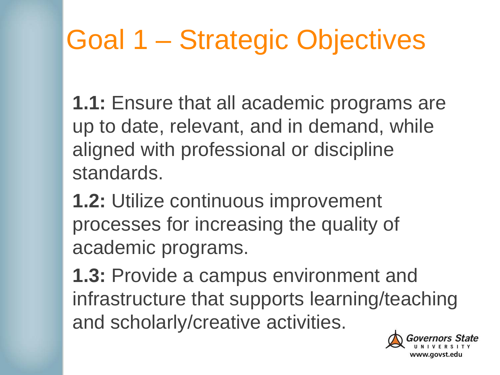## Goal 1 – Strategic Objectives

**1.1:** Ensure that all academic programs are up to date, relevant, and in demand, while aligned with professional or discipline standards.

**1.2:** Utilize continuous improvement processes for increasing the quality of academic programs.

**1.3:** Provide a campus environment and infrastructure that supports learning/teaching and scholarly/creative activities.

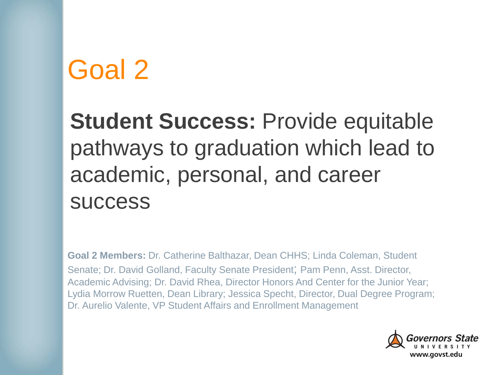**Student Success:** Provide equitable pathways to graduation which lead to academic, personal, and career success

**Goal 2 Members:** Dr. Catherine Balthazar, Dean CHHS; Linda Coleman, Student Senate; Dr. David Golland, Faculty Senate President; Pam Penn, Asst. Director, Academic Advising; Dr. David Rhea, Director Honors And Center for the Junior Year; Lydia Morrow Ruetten, Dean Library; Jessica Specht, Director, Dual Degree Program; Dr. Aurelio Valente, VP Student Affairs and Enrollment Management

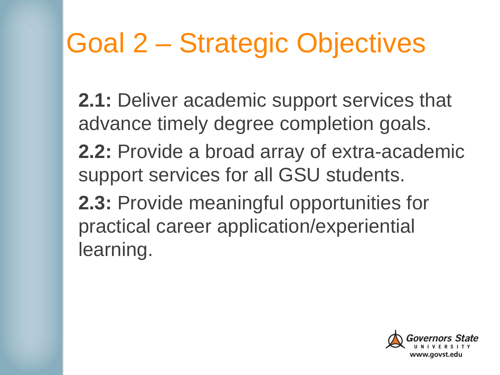## Goal 2 – Strategic Objectives

**2.1:** Deliver academic support services that advance timely degree completion goals.

**2.2:** Provide a broad array of extra-academic support services for all GSU students.

**2.3:** Provide meaningful opportunities for practical career application/experiential learning.

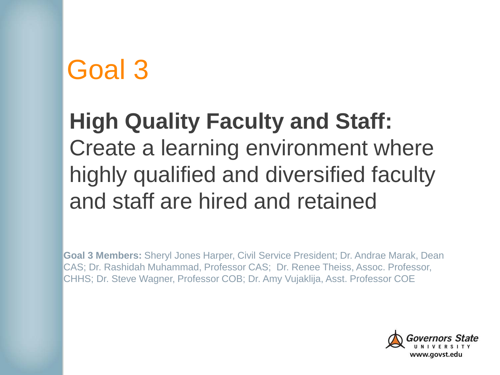#### **High Quality Faculty and Staff:**  Create a learning environment where highly qualified and diversified faculty and staff are hired and retained

**Goal 3 Members:** Sheryl Jones Harper, Civil Service President; Dr. Andrae Marak, Dean CAS; Dr. Rashidah Muhammad, Professor CAS; Dr. Renee Theiss, Assoc. Professor, CHHS; Dr. Steve Wagner, Professor COB; Dr. Amy Vujaklija, Asst. Professor COE

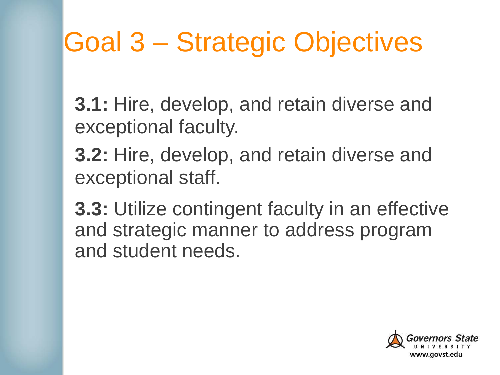## Goal 3 – Strategic Objectives

**3.1:** Hire, develop, and retain diverse and exceptional faculty.

**3.2:** Hire, develop, and retain diverse and exceptional staff.

**3.3:** Utilize contingent faculty in an effective and strategic manner to address program and student needs.

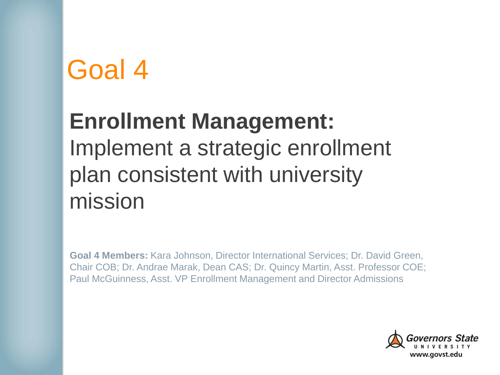#### **Enrollment Management:** Implement a strategic enrollment plan consistent with university mission

**Goal 4 Members:** Kara Johnson, Director International Services; Dr. David Green, Chair COB; Dr. Andrae Marak, Dean CAS; Dr. Quincy Martin, Asst. Professor COE; Paul McGuinness, Asst. VP Enrollment Management and Director Admissions

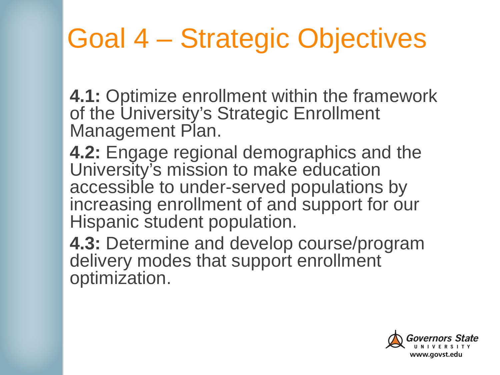## Goal 4 – Strategic Objectives

**4.1:** Optimize enrollment within the framework of the University's Strategic Enrollment Management Plan.

**4.2:** Engage regional demographics and the University's mission to make education accessible to under-served populations by increasing enrollment of and support for our Hispanic student population.

**4.3:** Determine and develop course/program delivery modes that support enrollment optimization.

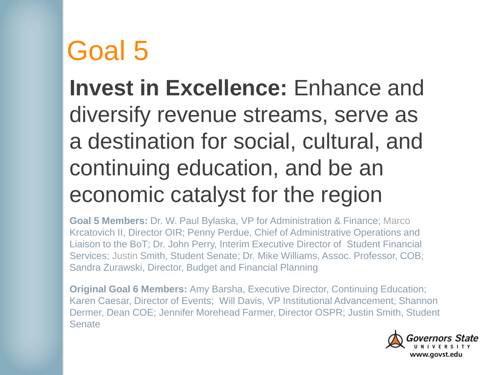#### **Invest in Excellence:** Enhance and diversify revenue streams, serve as a destination for social, cultural, and continuing education, and be an economic catalyst for the region

**Goal 5 Members:** Dr. W. Paul Bylaska, VP for Administration & Finance; Marco Krcatovich II, Director OIR; Penny Perdue, Chief of Administrative Operations and Liaison to the BoT; Dr. John Perry, Interim Executive Director of Student Financial Services; Justin Smith, Student Senate; Dr. Mike Williams, Assoc. Professor, COB; Sandra Zurawski, Director, Budget and Financial Planning

**Original Goal 6 Members:** Amy Barsha, Executive Director, Continuing Education; Karen Caesar, Director of Events; Will Davis, VP Institutional Advancement; Shannon Dermer, Dean COE; Jennifer Morehead Farmer, Director OSPR; Justin Smith, Student **Senate** 

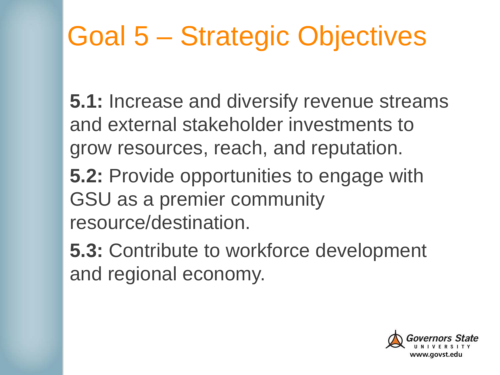## Goal 5 – Strategic Objectives

**5.1:** Increase and diversify revenue streams and external stakeholder investments to grow resources, reach, and reputation.

**5.2:** Provide opportunities to engage with GSU as a premier community resource/destination.

**5.3:** Contribute to workforce development and regional economy.

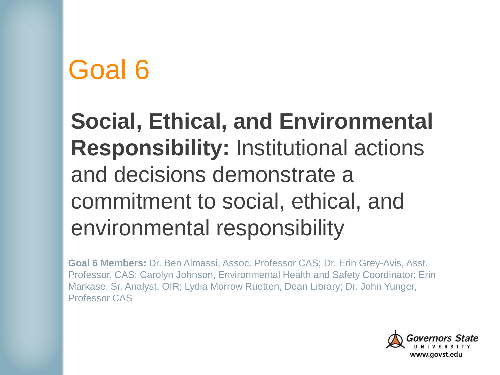#### **Social, Ethical, and Environmental Responsibility:** Institutional actions and decisions demonstrate a commitment to social, ethical, and environmental responsibility

**Goal 6 Members:** Dr. Ben Almassi, Assoc. Professor CAS; Dr. Erin Grey-Avis, Asst. Professor, CAS; Carolyn Johnson, Environmental Health and Safety Coordinator; Erin Markase, Sr. Analyst, OIR; Lydia Morrow Ruetten, Dean Library; Dr. John Yunger, Professor CAS

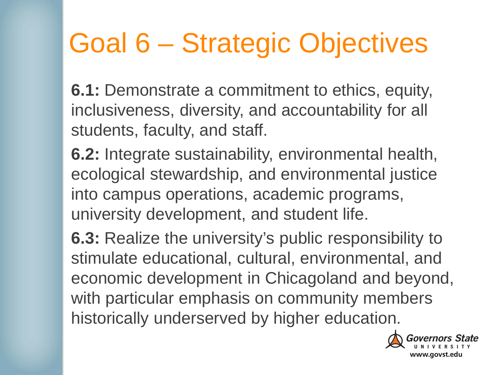## Goal 6 – Strategic Objectives

**6.1:** Demonstrate a commitment to ethics, equity, inclusiveness, diversity, and accountability for all students, faculty, and staff.

**6.2:** Integrate sustainability, environmental health, ecological stewardship, and environmental justice into campus operations, academic programs, university development, and student life.

**6.3:** Realize the university's public responsibility to stimulate educational, cultural, environmental, and economic development in Chicagoland and beyond, with particular emphasis on community members historically underserved by higher education.

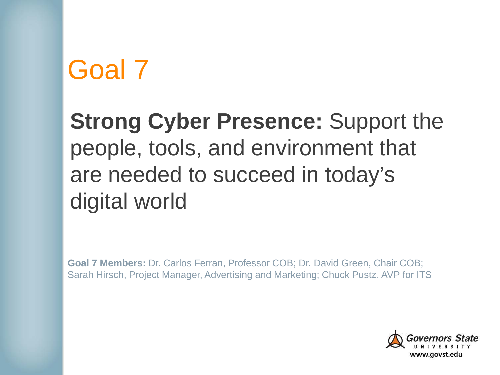#### **Strong Cyber Presence:** Support the people, tools, and environment that are needed to succeed in today's digital world

**Goal 7 Members:** Dr. Carlos Ferran, Professor COB; Dr. David Green, Chair COB; Sarah Hirsch, Project Manager, Advertising and Marketing; Chuck Pustz, AVP for ITS

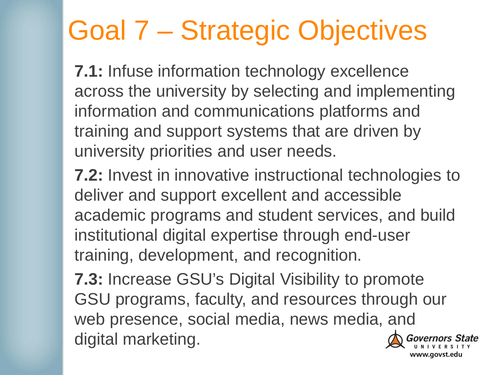## Goal 7 – Strategic Objectives

**7.1:** Infuse information technology excellence across the university by selecting and implementing information and communications platforms and training and support systems that are driven by university priorities and user needs.

**7.2:** Invest in innovative instructional technologies to deliver and support excellent and accessible academic programs and student services, and build institutional digital expertise through end-user training, development, and recognition.

**7.3:** Increase GSU's Digital Visibility to promote GSU programs, faculty, and resources through our web presence, social media, news media, and digital marketing.

www.govst.edu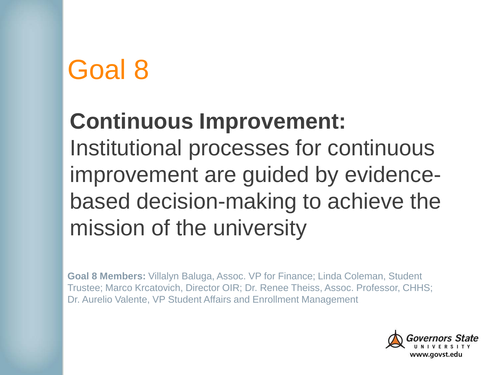#### **Continuous Improvement:**

Institutional processes for continuous improvement are guided by evidencebased decision-making to achieve the mission of the university

**Goal 8 Members:** Villalyn Baluga, Assoc. VP for Finance; Linda Coleman, Student Trustee; Marco Krcatovich, Director OIR; Dr. Renee Theiss, Assoc. Professor, CHHS; Dr. Aurelio Valente, VP Student Affairs and Enrollment Management

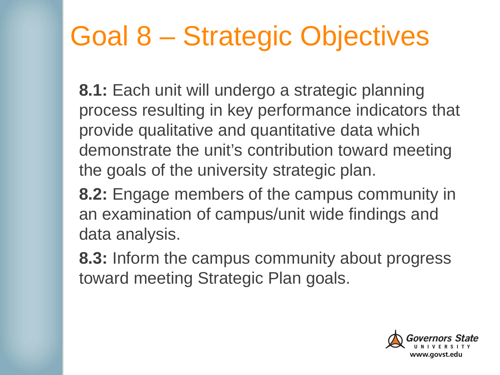## Goal 8 – Strategic Objectives

**8.1:** Each unit will undergo a strategic planning process resulting in key performance indicators that provide qualitative and quantitative data which demonstrate the unit's contribution toward meeting the goals of the university strategic plan.

**8.2:** Engage members of the campus community in an examination of campus/unit wide findings and data analysis.

**8.3:** Inform the campus community about progress toward meeting Strategic Plan goals.

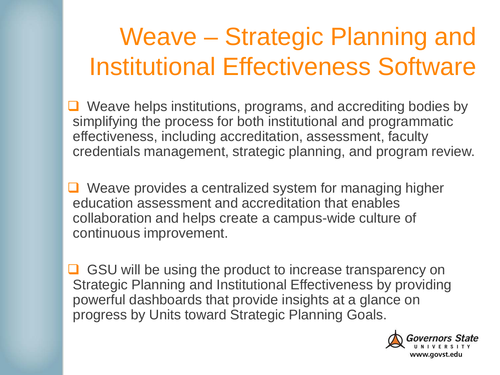### Weave – Strategic Planning and Institutional Effectiveness Software

- $\Box$  Weave helps institutions, programs, and accrediting bodies by simplifying the process for both institutional and programmatic effectiveness, including accreditation, assessment, faculty credentials management, strategic planning, and program review.
- **□** Weave provides a centralized system for managing higher education assessment and accreditation that enables collaboration and helps create a campus-wide culture of continuous improvement.
- $\Box$  GSU will be using the product to increase transparency on Strategic Planning and Institutional Effectiveness by providing powerful dashboards that provide insights at a glance on progress by Units toward Strategic Planning Goals.

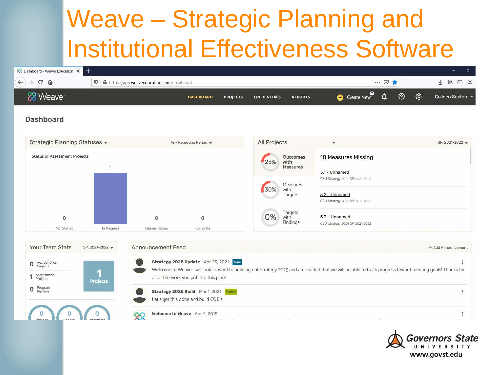#### Weave – Strategic Planning and Institutional Effectiveness Software

| <b>Septiment</b>    | $\hfill\textcircled{\ensuremath{\mathbf{1}}}\hfill\textcircled{\ensuremath{\mathbf{1}}}$<br>$\circledcirc$<br><b>III</b><br>业 |
|---------------------|-------------------------------------------------------------------------------------------------------------------------------|
|                     |                                                                                                                               |
| ශ<br>$\circledcirc$ | Colleen Sexton                                                                                                                |
|                     |                                                                                                                               |
|                     | SP: 2021-2022                                                                                                                 |
|                     |                                                                                                                               |
|                     |                                                                                                                               |
|                     |                                                                                                                               |
|                     |                                                                                                                               |



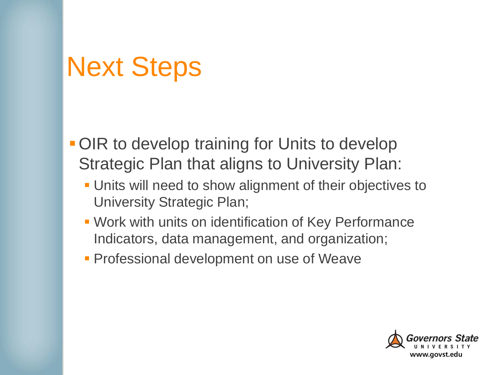#### Next Steps

- **OIR to develop training for Units to develop** Strategic Plan that aligns to University Plan:
	- Units will need to show alignment of their objectives to University Strategic Plan;
	- Work with units on identification of Key Performance Indicators, data management, and organization;
	- **Professional development on use of Weaver**

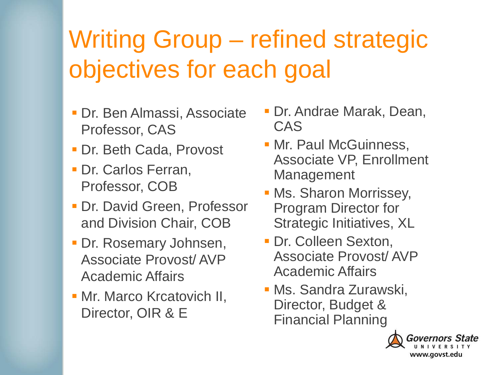### Writing Group – refined strategic objectives for each goal

- Dr. Ben Almassi, Associate Professor, CAS
- Dr. Beth Cada, Provost
- **Dr. Carlos Ferran,** Professor, COB
- **Dr. David Green, Professor** and Division Chair, COB
- **Dr. Rosemary Johnsen,** Associate Provost/ AVP Academic Affairs
- Mr. Marco Krcatovich II, Director, OIR & E
- Dr. Andrae Marak, Dean, CAS
- Mr. Paul McGuinness, Associate VP, Enrollment Management
- **Ms. Sharon Morrissey,** Program Director for Strategic Initiatives, XL
- **Dr. Colleen Sexton,** Associate Provost/ AVP Academic Affairs
- Ms. Sandra Zurawski, Director, Budget & Financial Planning

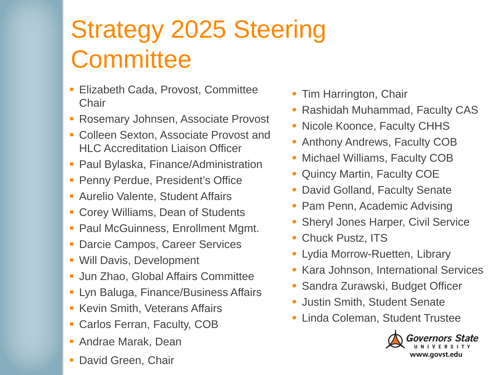### Strategy 2025 Steering **Committee**

- Elizabeth Cada, Provost, Committee **Chair**
- **Rosemary Johnsen, Associate Provost**
- **Colleen Sexton, Associate Provost and** HLC Accreditation Liaison Officer
- Paul Bylaska, Finance/Administration
- **Penny Perdue, President's Office**
- **Aurelio Valente, Student Affairs**
- Corey Williams, Dean of Students
- Paul McGuinness, Enrollment Mgmt.
- **Darcie Campos, Career Services**
- Will Davis, Development
- **Jun Zhao, Global Affairs Committee**
- **Lyn Baluga, Finance/Business Affairs**
- **Kevin Smith, Veterans Affairs**
- Carlos Ferran, Faculty, COB
- Andrae Marak, Dean
- David Green, Chair
- **Tim Harrington, Chair**
- **Rashidah Muhammad, Faculty CAS**
- Nicole Koonce, Faculty CHHS
- **Anthony Andrews, Faculty COB**
- **Michael Williams, Faculty COB**
- **Quincy Martin, Faculty COE**
- **David Golland, Faculty Senate**
- Pam Penn, Academic Advising
- **Sheryl Jones Harper, Civil Service**
- **Chuck Pustz, ITS**
- **-** Lydia Morrow-Ruetten, Library
- **Kara Johnson, International Services**
- Sandra Zurawski, Budget Officer
- **Justin Smith, Student Senate**
- **Linda Coleman, Student Trustee**